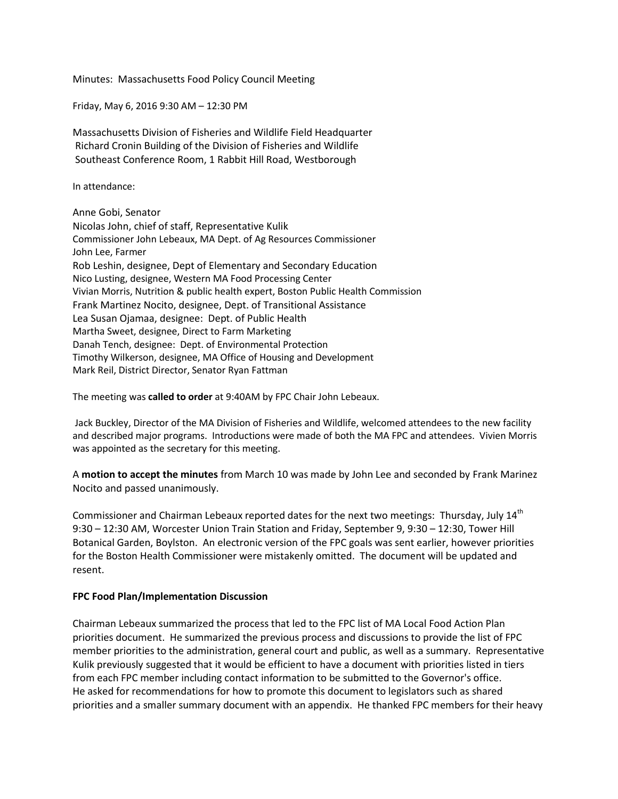Minutes: Massachusetts Food Policy Council Meeting

Friday, May 6, 2016 9:30 AM – 12:30 PM

Massachusetts Division of Fisheries and Wildlife Field Headquarter Richard Cronin Building of the Division of Fisheries and Wildlife Southeast Conference Room, 1 Rabbit Hill Road, Westborough

In attendance:

Anne Gobi, Senator Nicolas John, chief of staff, Representative Kulik Commissioner John Lebeaux, MA Dept. of Ag Resources Commissioner John Lee, Farmer Rob Leshin, designee, Dept of Elementary and Secondary Education Nico Lusting, designee, Western MA Food Processing Center Vivian Morris, Nutrition & public health expert, Boston Public Health Commission Frank Martinez Nocito, designee, Dept. of Transitional Assistance Lea Susan Ojamaa, designee: Dept. of Public Health Martha Sweet, designee, Direct to Farm Marketing Danah Tench, designee: Dept. of Environmental Protection Timothy Wilkerson, designee, MA Office of Housing and Development Mark Reil, District Director, Senator Ryan Fattman

The meeting was **called to order** at 9:40AM by FPC Chair John Lebeaux.

Jack Buckley, Director of the MA Division of Fisheries and Wildlife, welcomed attendees to the new facility and described major programs. Introductions were made of both the MA FPC and attendees. Vivien Morris was appointed as the secretary for this meeting.

A **motion to accept the minutes** from March 10 was made by John Lee and seconded by Frank Marinez Nocito and passed unanimously.

Commissioner and Chairman Lebeaux reported dates for the next two meetings: Thursday, July 14<sup>th</sup> 9:30 – 12:30 AM, Worcester Union Train Station and Friday, September 9, 9:30 – 12:30, Tower Hill Botanical Garden, Boylston. An electronic version of the FPC goals was sent earlier, however priorities for the Boston Health Commissioner were mistakenly omitted. The document will be updated and resent.

# **FPC Food Plan/Implementation Discussion**

Chairman Lebeaux summarized the process that led to the FPC list of MA Local Food Action Plan priorities document. He summarized the previous process and discussions to provide the list of FPC member priorities to the administration, general court and public, as well as a summary. Representative Kulik previously suggested that it would be efficient to have a document with priorities listed in tiers from each FPC member including contact information to be submitted to the Governor's office. He asked for recommendations for how to promote this document to legislators such as shared priorities and a smaller summary document with an appendix. He thanked FPC members for their heavy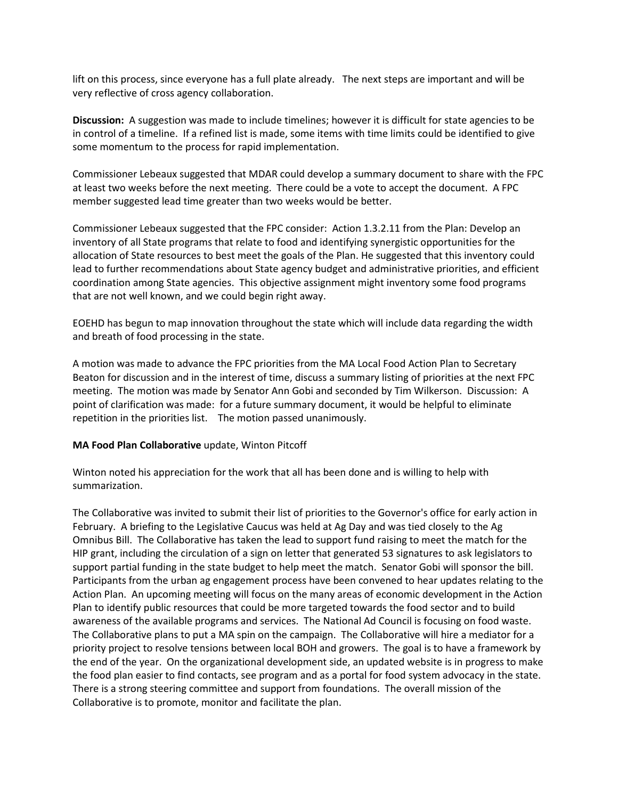lift on this process, since everyone has a full plate already. The next steps are important and will be very reflective of cross agency collaboration.

**Discussion:** A suggestion was made to include timelines; however it is difficult for state agencies to be in control of a timeline. If a refined list is made, some items with time limits could be identified to give some momentum to the process for rapid implementation.

Commissioner Lebeaux suggested that MDAR could develop a summary document to share with the FPC at least two weeks before the next meeting. There could be a vote to accept the document. A FPC member suggested lead time greater than two weeks would be better.

Commissioner Lebeaux suggested that the FPC consider: Action 1.3.2.11 from the Plan: Develop an inventory of all State programs that relate to food and identifying synergistic opportunities for the allocation of State resources to best meet the goals of the Plan. He suggested that this inventory could lead to further recommendations about State agency budget and administrative priorities, and efficient coordination among State agencies. This objective assignment might inventory some food programs that are not well known, and we could begin right away.

EOEHD has begun to map innovation throughout the state which will include data regarding the width and breath of food processing in the state.

A motion was made to advance the FPC priorities from the MA Local Food Action Plan to Secretary Beaton for discussion and in the interest of time, discuss a summary listing of priorities at the next FPC meeting. The motion was made by Senator Ann Gobi and seconded by Tim Wilkerson. Discussion: A point of clarification was made: for a future summary document, it would be helpful to eliminate repetition in the priorities list. The motion passed unanimously.

# **MA Food Plan Collaborative** update, Winton Pitcoff

Winton noted his appreciation for the work that all has been done and is willing to help with summarization.

The Collaborative was invited to submit their list of priorities to the Governor's office for early action in February. A briefing to the Legislative Caucus was held at Ag Day and was tied closely to the Ag Omnibus Bill. The Collaborative has taken the lead to support fund raising to meet the match for the HIP grant, including the circulation of a sign on letter that generated 53 signatures to ask legislators to support partial funding in the state budget to help meet the match. Senator Gobi will sponsor the bill. Participants from the urban ag engagement process have been convened to hear updates relating to the Action Plan. An upcoming meeting will focus on the many areas of economic development in the Action Plan to identify public resources that could be more targeted towards the food sector and to build awareness of the available programs and services. The National Ad Council is focusing on food waste. The Collaborative plans to put a MA spin on the campaign. The Collaborative will hire a mediator for a priority project to resolve tensions between local BOH and growers. The goal is to have a framework by the end of the year. On the organizational development side, an updated website is in progress to make the food plan easier to find contacts, see program and as a portal for food system advocacy in the state. There is a strong steering committee and support from foundations. The overall mission of the Collaborative is to promote, monitor and facilitate the plan.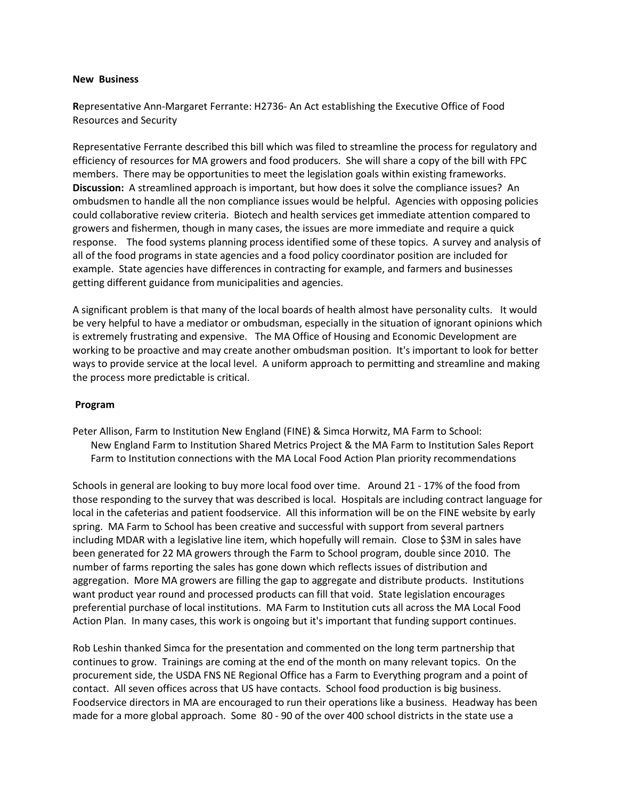## **New Business**

**R**epresentative Ann-Margaret Ferrante: H2736- An Act establishing the Executive Office of Food Resources and Security

Representative Ferrante described this bill which was filed to streamline the process for regulatory and efficiency of resources for MA growers and food producers. She will share a copy of the bill with FPC members. There may be opportunities to meet the legislation goals within existing frameworks. **Discussion:** A streamlined approach is important, but how does it solve the compliance issues? An ombudsmen to handle all the non compliance issues would be helpful. Agencies with opposing policies could collaborative review criteria. Biotech and health services get immediate attention compared to growers and fishermen, though in many cases, the issues are more immediate and require a quick response. The food systems planning process identified some of these topics. A survey and analysis of all of the food programs in state agencies and a food policy coordinator position are included for example. State agencies have differences in contracting for example, and farmers and businesses getting different guidance from municipalities and agencies.

A significant problem is that many of the local boards of health almost have personality cults. It would be very helpful to have a mediator or ombudsman, especially in the situation of ignorant opinions which is extremely frustrating and expensive. The MA Office of Housing and Economic Development are working to be proactive and may create another ombudsman position. It's important to look for better ways to provide service at the local level. A uniform approach to permitting and streamline and making the process more predictable is critical.

# **Program**

Peter Allison, Farm to Institution New England (FINE) & Simca Horwitz, MA Farm to School: New England Farm to Institution Shared Metrics Project & the MA Farm to Institution Sales Report Farm to Institution connections with the MA Local Food Action Plan priority recommendations

Schools in general are looking to buy more local food over time. Around 21 - 17% of the food from those responding to the survey that was described is local. Hospitals are including contract language for local in the cafeterias and patient foodservice. All this information will be on the FINE website by early spring. MA Farm to School has been creative and successful with support from several partners including MDAR with a legislative line item, which hopefully will remain. Close to \$3M in sales have been generated for 22 MA growers through the Farm to School program, double since 2010. The number of farms reporting the sales has gone down which reflects issues of distribution and aggregation. More MA growers are filling the gap to aggregate and distribute products. Institutions want product year round and processed products can fill that void. State legislation encourages preferential purchase of local institutions. MA Farm to Institution cuts all across the MA Local Food Action Plan. In many cases, this work is ongoing but it's important that funding support continues.

Rob Leshin thanked Simca for the presentation and commented on the long term partnership that continues to grow. Trainings are coming at the end of the month on many relevant topics. On the procurement side, the USDA FNS NE Regional Office has a Farm to Everything program and a point of contact. All seven offices across that US have contacts. School food production is big business. Foodservice directors in MA are encouraged to run their operations like a business. Headway has been made for a more global approach. Some 80 - 90 of the over 400 school districts in the state use a